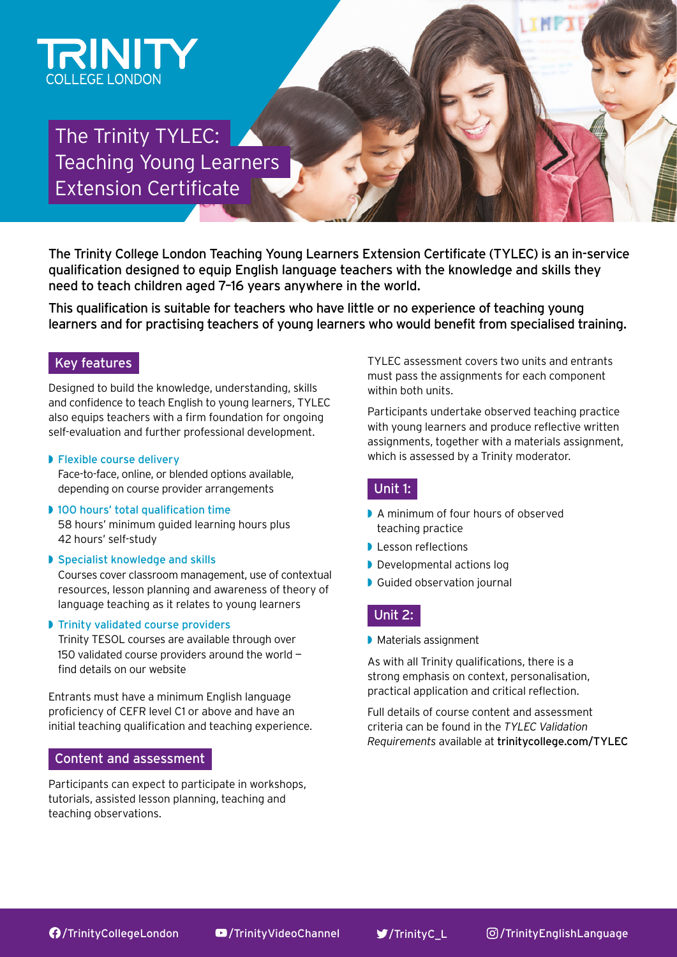

# The Trinity TYLEC: Teaching Young Learners Extension Certificate

The Trinity College London Teaching Young Learners Extension Certificate (TYLEC) is an in-service qualification designed to equip English language teachers with the knowledge and skills they need to teach children aged 7–16 years anywhere in the world.

This qualification is suitable for teachers who have little or no experience of teaching young learners and for practising teachers of young learners who would benefit from specialised training.

# Key features

Designed to build the knowledge, understanding, skills and confidence to teach English to young learners, TYLEC also equips teachers with a firm foundation for ongoing self-evaluation and further professional development.

#### ◗ Flexible course delivery

Face-to-face, online, or blended options available, depending on course provider arrangements

- ◗ 100 hours' total qualification time 58 hours' minimum guided learning hours plus 42 hours' self-study
- ◗ Specialist knowledge and skills

Courses cover classroom management, use of contextual resources, lesson planning and awareness of theory of language teaching as it relates to young learners

◗ Trinity validated course providers

Trinity TESOL courses are available through over 150 validated course providers around the world find details on our website

Entrants must have a minimum English language proficiency of CEFR level C1 or above and have an initial teaching qualification and teaching experience.

### Content and assessment

Participants can expect to participate in workshops, tutorials, assisted lesson planning, teaching and teaching observations.

TYLEC assessment covers two units and entrants must pass the assignments for each component within both units.

Participants undertake observed teaching practice with young learners and produce reflective written assignments, together with a materials assignment, which is assessed by a Trinity moderator.

# Unit 1:

- ◗ A minimum of four hours of observed teaching practice
- ◗ Lesson reflections
- ◗ Developmental actions log
- **▶ Guided observation journal**

# Unit 2:

◗ Materials assignment

As with all Trinity qualifications, there is a strong emphasis on context, personalisation, practical application and critical reflection.

Full details of course content and assessment criteria can be found in the *TYLEC Validation Requirements* available at [trinitycollege.com/TYLEC](https://www.trinitycollege.com/qualifications/teaching-english/TYLEC)

177 [/TrinityCollegeLondon](https://www.facebook.com/TrinityCollegeLondon/) D[/TrinityVideoChannel](https://www.youtube.com/user/TrinityVideoChannel/featured) V[/TrinityC\\_L](https://twitter.com/TrinityC_L) <sup>©</sup>[/TrinityEnglishLanguage](http://www.instagram.com/trinityenglishlanguage)